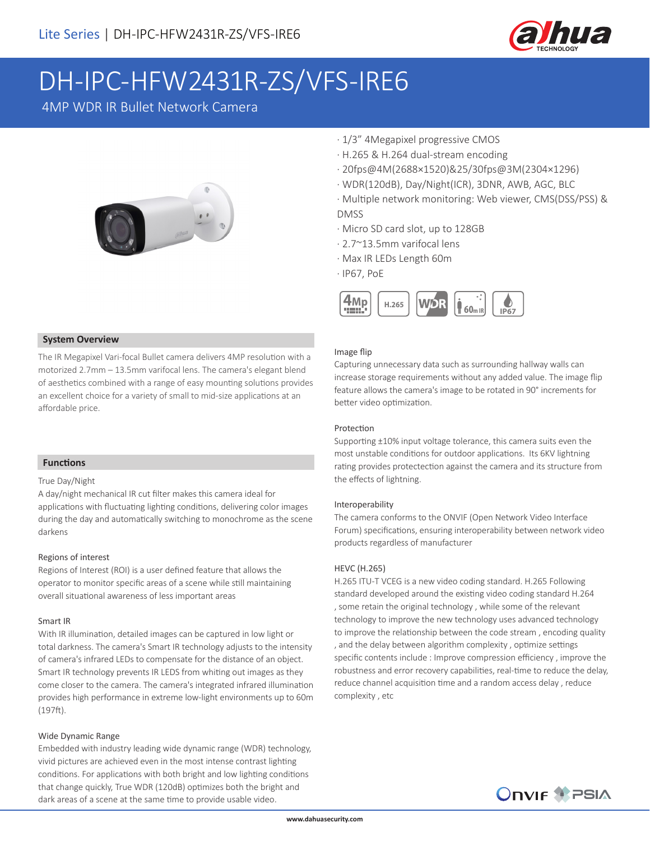

# DH-IPC-HFW2431R-ZS/VFS-IRE6

4MP WDR IR Bullet Network Camera



#### **System Overview**

The IR Megapixel Vari-focal Bullet camera delivers 4MP resolution with a motorized 2.7mm – 13.5mm varifocal lens. The camera's elegant blend of aesthetics combined with a range of easy mounting solutions provides an excellent choice for a variety of small to mid-size applications at an affordable price.

#### **Functions**

#### True Day/Night

A day/night mechanical IR cut filter makes this camera ideal for applications with fluctuating lighting conditions, delivering color images during the day and automatically switching to monochrome as the scene darkens

#### Regions of interest

Regions of Interest (ROI) is a user defined feature that allows the operator to monitor specific areas of a scene while still maintaining overall situational awareness of less important areas

#### Smart IR

With IR illumination, detailed images can be captured in low light or total darkness. The camera's Smart IR technology adjusts to the intensity of camera's infrared LEDs to compensate for the distance of an object. Smart IR technology prevents IR LEDS from whiting out images as they come closer to the camera. The camera's integrated infrared illumination provides high performance in extreme low-light environments up to 60m (197ft).

#### Wide Dynamic Range

Embedded with industry leading wide dynamic range (WDR) technology, vivid pictures are achieved even in the most intense contrast lighting conditions. For applications with both bright and low lighting conditions that change quickly, True WDR (120dB) optimizes both the bright and dark areas of a scene at the same time to provide usable video.

- · 1/3" 4Megapixel progressive CMOS
- · H.265 & H.264 dual-stream encoding
- · 20fps@4M(2688×1520)&25/30fps@3M(2304×1296)
- · WDR(120dB), Day/Night(ICR), 3DNR, AWB, AGC, BLC
- · Multiple network monitoring: Web viewer, CMS(DSS/PSS) & DMSS
- · Micro SD card slot, up to 128GB
- · 2.7~13.5mm varifocal lens
- · Max IR LEDs Length 60m
- · IP67, PoE



#### Image flip

Capturing unnecessary data such as surrounding hallway walls can increase storage requirements without any added value. The image flip feature allows the camera's image to be rotated in 90° increments for better video optimization.

#### Protection

Supporting ±10% input voltage tolerance, this camera suits even the most unstable conditions for outdoor applications. Its 6KV lightning rating provides protectection against the camera and its structure from the effects of lightning.

#### Interoperability

The camera conforms to the ONVIF (Open Network Video Interface Forum) specifications, ensuring interoperability between network video products regardless of manufacturer

#### HEVC (H.265)

H.265 ITU-T VCEG is a new video coding standard. H.265 Following standard developed around the existing video coding standard H.264 , some retain the original technology , while some of the relevant technology to improve the new technology uses advanced technology to improve the relationship between the code stream , encoding quality , and the delay between algorithm complexity , optimize settings specific contents include : Improve compression efficiency , improve the robustness and error recovery capabilities, real-time to reduce the delay, reduce channel acquisition time and a random access delay , reduce complexity , etc

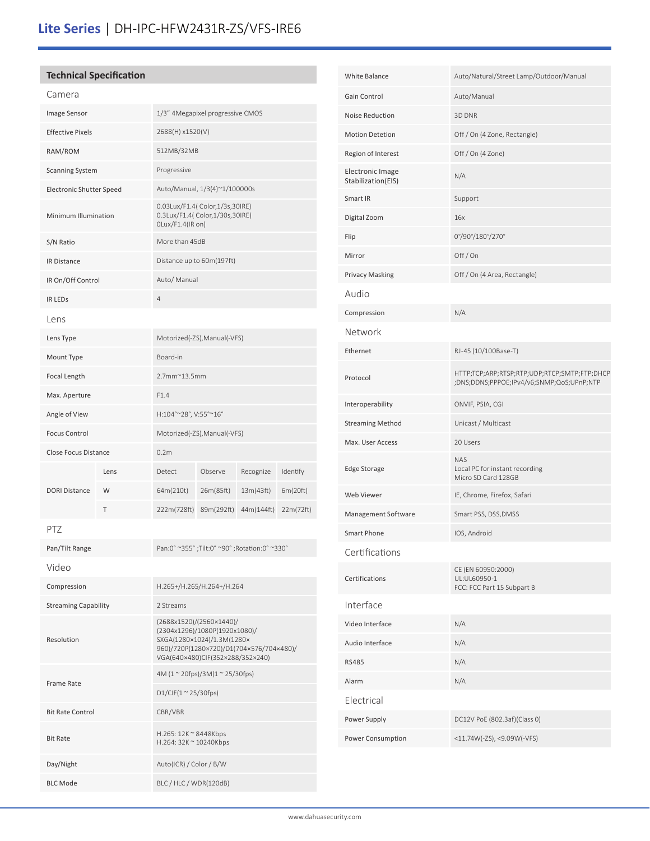# **Lite Series** | DH-IPC-HFW2431R-ZS/VFS-IRE6

## **Technical Specification**

| Camera                          |      |                                                                                                                                                                         |            |            |           |
|---------------------------------|------|-------------------------------------------------------------------------------------------------------------------------------------------------------------------------|------------|------------|-----------|
| Image Sensor                    |      | 1/3" 4Megapixel progressive CMOS                                                                                                                                        |            |            |           |
| <b>Effective Pixels</b>         |      | 2688(H) x1520(V)                                                                                                                                                        |            |            |           |
| RAM/ROM                         |      | 512MB/32MB                                                                                                                                                              |            |            |           |
| <b>Scanning System</b>          |      | Progressive                                                                                                                                                             |            |            |           |
| <b>Electronic Shutter Speed</b> |      | Auto/Manual, 1/3(4)~1/100000s                                                                                                                                           |            |            |           |
| Minimum Illumination            |      | 0.03Lux/F1.4(Color,1/3s,30IRE)<br>0.3Lux/F1.4( Color, 1/30s, 30IRE)<br>OLux/F1.4(IR on)                                                                                 |            |            |           |
| S/N Ratio                       |      | More than 45dB                                                                                                                                                          |            |            |           |
| IR Distance                     |      | Distance up to 60m(197ft)                                                                                                                                               |            |            |           |
| IR On/Off Control               |      | Auto/ Manual                                                                                                                                                            |            |            |           |
| <b>IR LEDS</b>                  |      | 4                                                                                                                                                                       |            |            |           |
| Lens                            |      |                                                                                                                                                                         |            |            |           |
| Lens Type                       |      | Motorized(-ZS), Manual(-VFS)                                                                                                                                            |            |            |           |
| Mount Type                      |      | Board-in                                                                                                                                                                |            |            |           |
| Focal Length                    |      | 2.7mm~13.5mm                                                                                                                                                            |            |            |           |
| Max. Aperture                   |      | F1.4                                                                                                                                                                    |            |            |           |
| Angle of View                   |      | H:104°~28°, V:55°~16°                                                                                                                                                   |            |            |           |
| <b>Focus Control</b>            |      | Motorized(-ZS), Manual(-VFS)                                                                                                                                            |            |            |           |
| Close Focus Distance            |      | 0.2 <sub>m</sub>                                                                                                                                                        |            |            |           |
|                                 | Lens | Detect                                                                                                                                                                  | Observe    | Recognize  | Identify  |
| <b>DORI Distance</b>            | W    | 64m(210t)                                                                                                                                                               | 26m(85ft)  | 13m(43ft)  | 6m(20ft)  |
|                                 | T    | 222m(728ft)                                                                                                                                                             | 89m(292ft) | 44m(144ft) | 22m(72ft) |
| <b>PTZ</b>                      |      |                                                                                                                                                                         |            |            |           |
| Pan/Tilt Range                  |      | Pan:0° ~355°;Tilt:0° ~90°;Rotation:0° ~330°                                                                                                                             |            |            |           |
| Video                           |      |                                                                                                                                                                         |            |            |           |
| Compression                     |      | H.265+/H.265/H.264+/H.264                                                                                                                                               |            |            |           |
| <b>Streaming Capability</b>     |      | 2 Streams                                                                                                                                                               |            |            |           |
| Resolution                      |      | (2688x1520)/(2560×1440)/<br>(2304x1296)/1080P(1920x1080)/<br>SXGA(1280×1024)/1.3M(1280×<br>960)/720P(1280×720)/D1(704×576/704×480)/<br>VGA(640×480)CIF(352×288/352×240) |            |            |           |
| <b>Frame Rate</b>               |      | 4M (1 ~ 20fps)/3M(1 ~ 25/30fps)                                                                                                                                         |            |            |           |
|                                 |      | D1/CIF(1 ~ 25/30fps)                                                                                                                                                    |            |            |           |
| <b>Bit Rate Control</b>         |      | CBR/VBR                                                                                                                                                                 |            |            |           |
| <b>Bit Rate</b>                 |      | H.265: 12K ~ 8448Kbps<br>H.264: 32K ~ 10240Kbps                                                                                                                         |            |            |           |

Day/Night Auto(ICR) / Color / B/W BLC Mode BLC / HLC / WDR(120dB)

| Gain Control<br>Auto/Manual<br><b>Noise Reduction</b><br>3D DNR<br><b>Motion Detetion</b><br>Off / On (4 Zone, Rectangle)<br>Off / On (4 Zone)<br>Region of Interest<br>Electronic Image<br>N/A<br>Stabilization(EIS)<br>Smart IR<br>Support<br>Digital Zoom<br>16x<br>0°/90°/180°/270°<br>Flip<br>Off/On<br>Mirror<br>Off / On (4 Area, Rectangle)<br>Privacy Masking<br>Audio<br>N/A<br>Compression<br>Network<br>Ethernet<br>RJ-45 (10/100Base-T)<br>HTTP;TCP;ARP;RTSP;RTP;UDP;RTCP;SMTP;FTP;DHCP<br>Protocol<br>;DNS;DDNS;PPPOE;IPv4/v6;SNMP;QoS;UPnP;NTP |
|---------------------------------------------------------------------------------------------------------------------------------------------------------------------------------------------------------------------------------------------------------------------------------------------------------------------------------------------------------------------------------------------------------------------------------------------------------------------------------------------------------------------------------------------------------------|
|                                                                                                                                                                                                                                                                                                                                                                                                                                                                                                                                                               |
|                                                                                                                                                                                                                                                                                                                                                                                                                                                                                                                                                               |
|                                                                                                                                                                                                                                                                                                                                                                                                                                                                                                                                                               |
|                                                                                                                                                                                                                                                                                                                                                                                                                                                                                                                                                               |
|                                                                                                                                                                                                                                                                                                                                                                                                                                                                                                                                                               |
|                                                                                                                                                                                                                                                                                                                                                                                                                                                                                                                                                               |
|                                                                                                                                                                                                                                                                                                                                                                                                                                                                                                                                                               |
|                                                                                                                                                                                                                                                                                                                                                                                                                                                                                                                                                               |
|                                                                                                                                                                                                                                                                                                                                                                                                                                                                                                                                                               |
|                                                                                                                                                                                                                                                                                                                                                                                                                                                                                                                                                               |
|                                                                                                                                                                                                                                                                                                                                                                                                                                                                                                                                                               |
|                                                                                                                                                                                                                                                                                                                                                                                                                                                                                                                                                               |
|                                                                                                                                                                                                                                                                                                                                                                                                                                                                                                                                                               |
|                                                                                                                                                                                                                                                                                                                                                                                                                                                                                                                                                               |
|                                                                                                                                                                                                                                                                                                                                                                                                                                                                                                                                                               |
| Interoperability<br>ONVIF, PSIA, CGI                                                                                                                                                                                                                                                                                                                                                                                                                                                                                                                          |
| Unicast / Multicast<br><b>Streaming Method</b>                                                                                                                                                                                                                                                                                                                                                                                                                                                                                                                |
| Max. User Access<br>20 Users                                                                                                                                                                                                                                                                                                                                                                                                                                                                                                                                  |
| <b>NAS</b><br><b>Edge Storage</b><br>Local PC for instant recording<br>Micro SD Card 128GB                                                                                                                                                                                                                                                                                                                                                                                                                                                                    |
| Web Viewer<br>IE, Chrome, Firefox, Safari                                                                                                                                                                                                                                                                                                                                                                                                                                                                                                                     |
| Smart PSS, DSS, DMSS<br>Management Software                                                                                                                                                                                                                                                                                                                                                                                                                                                                                                                   |
| Smart Phone<br>IOS, Android                                                                                                                                                                                                                                                                                                                                                                                                                                                                                                                                   |
| Certifications                                                                                                                                                                                                                                                                                                                                                                                                                                                                                                                                                |
| CE (EN 60950:2000)<br>UL:UL60950-1<br>Certifications<br>FCC: FCC Part 15 Subpart B                                                                                                                                                                                                                                                                                                                                                                                                                                                                            |
| Interface                                                                                                                                                                                                                                                                                                                                                                                                                                                                                                                                                     |
| Video Interface<br>N/A                                                                                                                                                                                                                                                                                                                                                                                                                                                                                                                                        |
| Audio Interface<br>N/A                                                                                                                                                                                                                                                                                                                                                                                                                                                                                                                                        |
| N/A<br><b>RS485</b>                                                                                                                                                                                                                                                                                                                                                                                                                                                                                                                                           |
| N/A<br>Alarm                                                                                                                                                                                                                                                                                                                                                                                                                                                                                                                                                  |
| Electrical                                                                                                                                                                                                                                                                                                                                                                                                                                                                                                                                                    |
| Power Supply<br>DC12V PoE (802.3af)(Class 0)                                                                                                                                                                                                                                                                                                                                                                                                                                                                                                                  |
| <11.74W(-ZS), <9.09W(-VFS)<br>Power Consumption                                                                                                                                                                                                                                                                                                                                                                                                                                                                                                               |